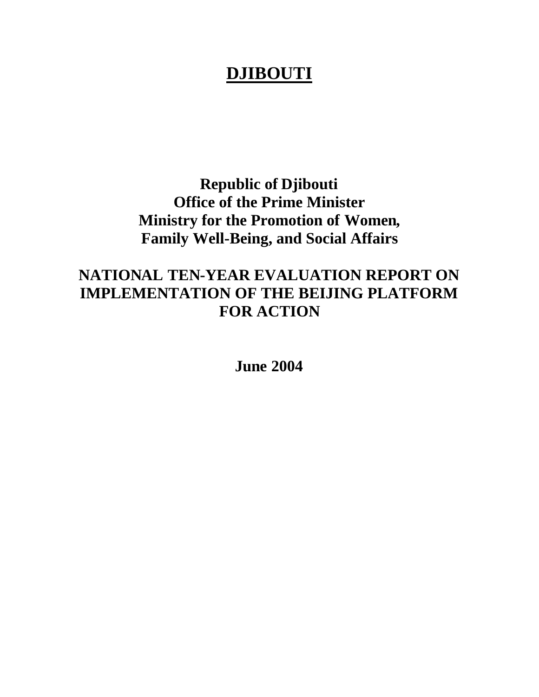# **DJIBOUTI**

**Republic of Djibouti Office of the Prime Minister Ministry for the Promotion of Women, Family Well-Being, and Social Affairs**

# **NATIONAL TEN-YEAR EVALUATION REPORT ON IMPLEMENTATION OF THE BEIJING PLATFORM FOR ACTION**

**June 2004**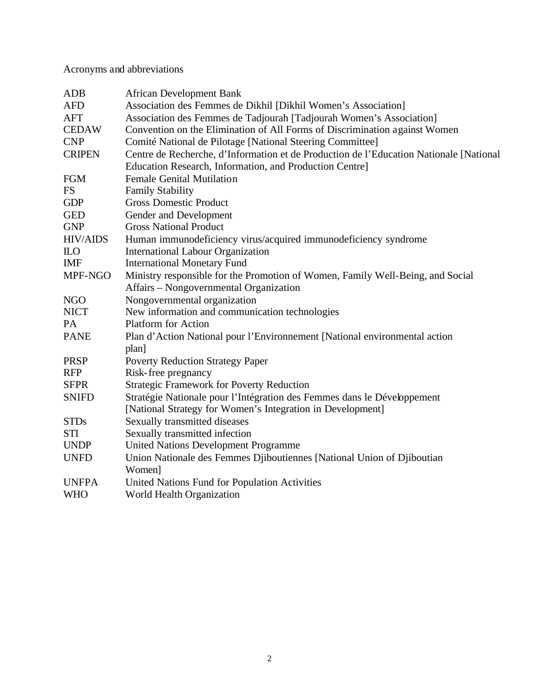Acronyms and abbreviations

| <b>ADB</b>      | <b>African Development Bank</b>                                                        |
|-----------------|----------------------------------------------------------------------------------------|
| <b>AFD</b>      | Association des Femmes de Dikhil [Dikhil Women's Association]                          |
| <b>AFT</b>      | Association des Femmes de Tadjourah [Tadjourah Women's Association]                    |
| <b>CEDAW</b>    | Convention on the Elimination of All Forms of Discrimination against Women             |
| <b>CNP</b>      | Comité National de Pilotage [National Steering Committee]                              |
| <b>CRIPEN</b>   | Centre de Recherche, d'Information et de Production de l'Education Nationale [National |
|                 | Education Research, Information, and Production Centre]                                |
| <b>FGM</b>      | <b>Female Genital Mutilation</b>                                                       |
| <b>FS</b>       | <b>Family Stability</b>                                                                |
| <b>GDP</b>      | <b>Gross Domestic Product</b>                                                          |
| <b>GED</b>      | Gender and Development                                                                 |
| <b>GNP</b>      | <b>Gross National Product</b>                                                          |
| <b>HIV/AIDS</b> | Human immunodeficiency virus/acquired immunodeficiency syndrome                        |
| $\mathbf{L}$    | <b>International Labour Organization</b>                                               |
| <b>IMF</b>      | <b>International Monetary Fund</b>                                                     |
| MPF-NGO         | Ministry responsible for the Promotion of Women, Family Well-Being, and Social         |
|                 | Affairs – Nongovernmental Organization                                                 |
| <b>NGO</b>      | Nongovernmental organization                                                           |
| <b>NICT</b>     | New information and communication technologies                                         |
| PA              | <b>Platform for Action</b>                                                             |
| <b>PANE</b>     | Plan d'Action National pour l'Environnement [National environmental action             |
|                 | plan]                                                                                  |
| <b>PRSP</b>     | <b>Poverty Reduction Strategy Paper</b>                                                |
| <b>RFP</b>      | Risk-free pregnancy                                                                    |
| <b>SFPR</b>     | <b>Strategic Framework for Poverty Reduction</b>                                       |
| <b>SNIFD</b>    | Stratégie Nationale pour l'Intégration des Femmes dans le Développement                |
|                 | [National Strategy for Women's Integration in Development]                             |
| <b>STDs</b>     | Sexually transmitted diseases                                                          |
| <b>STI</b>      | Sexually transmitted infection                                                         |
| <b>UNDP</b>     | <b>United Nations Development Programme</b>                                            |
| <b>UNFD</b>     | Union Nationale des Femmes Djiboutiennes [National Union of Djiboutian                 |
|                 | Women]                                                                                 |
| <b>UNFPA</b>    | United Nations Fund for Population Activities                                          |
| <b>WHO</b>      | World Health Organization                                                              |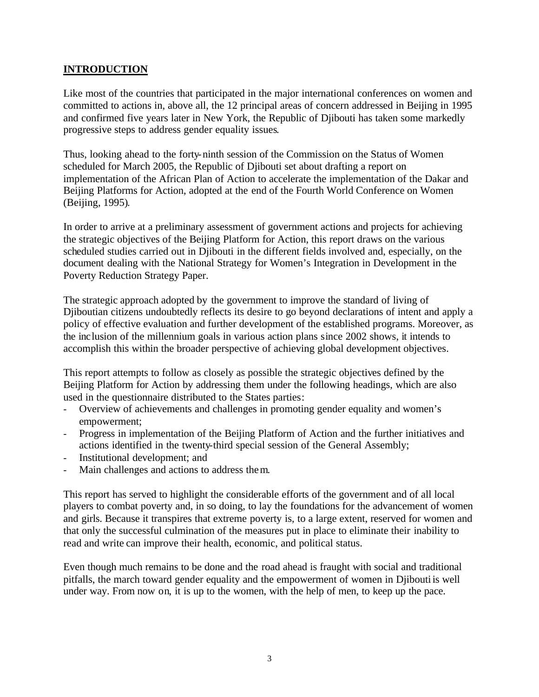#### **INTRODUCTION**

Like most of the countries that participated in the major international conferences on women and committed to actions in, above all, the 12 principal areas of concern addressed in Beijing in 1995 and confirmed five years later in New York, the Republic of Djibouti has taken some markedly progressive steps to address gender equality issues.

Thus, looking ahead to the forty-ninth session of the Commission on the Status of Women scheduled for March 2005, the Republic of Djibouti set about drafting a report on implementation of the African Plan of Action to accelerate the implementation of the Dakar and Beijing Platforms for Action, adopted at the end of the Fourth World Conference on Women (Beijing, 1995).

In order to arrive at a preliminary assessment of government actions and projects for achieving the strategic objectives of the Beijing Platform for Action, this report draws on the various scheduled studies carried out in Djibouti in the different fields involved and, especially, on the document dealing with the National Strategy for Women's Integration in Development in the Poverty Reduction Strategy Paper.

The strategic approach adopted by the government to improve the standard of living of Djiboutian citizens undoubtedly reflects its desire to go beyond declarations of intent and apply a policy of effective evaluation and further development of the established programs. Moreover, as the inclusion of the millennium goals in various action plans since 2002 shows, it intends to accomplish this within the broader perspective of achieving global development objectives.

This report attempts to follow as closely as possible the strategic objectives defined by the Beijing Platform for Action by addressing them under the following headings, which are also used in the questionnaire distributed to the States parties:

- Overview of achievements and challenges in promoting gender equality and women's empowerment;
- Progress in implementation of the Beijing Platform of Action and the further initiatives and actions identified in the twenty-third special session of the General Assembly;
- Institutional development; and
- Main challenges and actions to address them.

This report has served to highlight the considerable efforts of the government and of all local players to combat poverty and, in so doing, to lay the foundations for the advancement of women and girls. Because it transpires that extreme poverty is, to a large extent, reserved for women and that only the successful culmination of the measures put in place to eliminate their inability to read and write can improve their health, economic, and political status.

Even though much remains to be done and the road ahead is fraught with social and traditional pitfalls, the march toward gender equality and the empowerment of women in Djibouti is well under way. From now on, it is up to the women, with the help of men, to keep up the pace.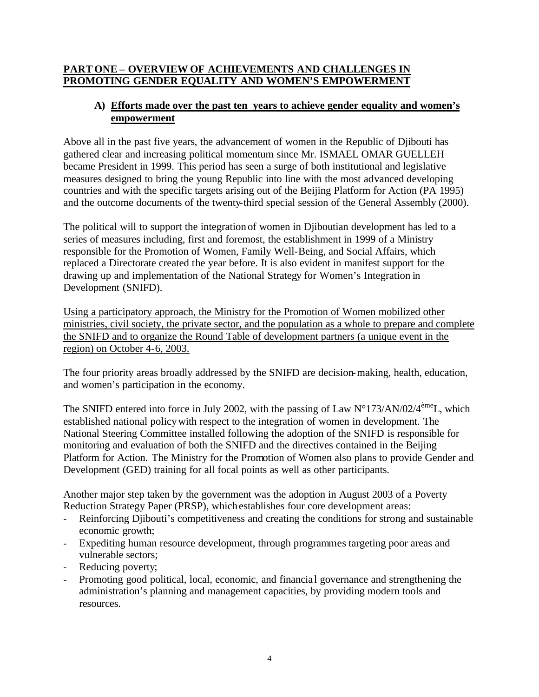#### **PART ONE – OVERVIEW OF ACHIEVEMENTS AND CHALLENGES IN PROMOTING GENDER EQUALITY AND WOMEN'S EMPOWERMENT**

## **A) Efforts made over the past ten years to achieve gender equality and women's empowerment**

Above all in the past five years, the advancement of women in the Republic of Djibouti has gathered clear and increasing political momentum since Mr. ISMAEL OMAR GUELLEH became President in 1999. This period has seen a surge of both institutional and legislative measures designed to bring the young Republic into line with the most advanced developing countries and with the specific targets arising out of the Beijing Platform for Action (PA 1995) and the outcome documents of the twenty-third special session of the General Assembly (2000).

The political will to support the integration of women in Djiboutian development has led to a series of measures including, first and foremost, the establishment in 1999 of a Ministry responsible for the Promotion of Women, Family Well-Being, and Social Affairs, which replaced a Directorate created the year before. It is also evident in manifest support for the drawing up and implementation of the National Strategy for Women's Integration in Development (SNIFD).

Using a participatory approach, the Ministry for the Promotion of Women mobilized other ministries, civil society, the private sector, and the population as a whole to prepare and complete the SNIFD and to organize the Round Table of development partners (a unique event in the region) on October 4-6, 2003.

The four priority areas broadly addressed by the SNIFD are decision-making, health, education, and women's participation in the economy.

The SNIFD entered into force in July 2002, with the passing of Law  $N^{\circ}173/AN/02/4^{\text{eme}}$ L, which established national policywith respect to the integration of women in development. The National Steering Committee installed following the adoption of the SNIFD is responsible for monitoring and evaluation of both the SNIFD and the directives contained in the Beijing Platform for Action. The Ministry for the Promotion of Women also plans to provide Gender and Development (GED) training for all focal points as well as other participants.

Another major step taken by the government was the adoption in August 2003 of a Poverty Reduction Strategy Paper (PRSP), which establishes four core development areas:

- Reinforcing Djibouti's competitiveness and creating the conditions for strong and sustainable economic growth;
- Expediting human resource development, through programmes targeting poor areas and vulnerable sectors;
- Reducing poverty;
- Promoting good political, local, economic, and financial governance and strengthening the administration's planning and management capacities, by providing modern tools and resources.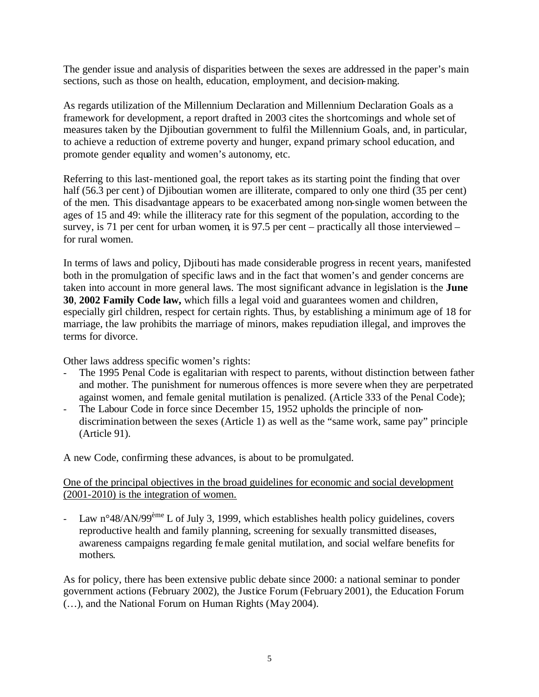The gender issue and analysis of disparities between the sexes are addressed in the paper's main sections, such as those on health, education, employment, and decision-making.

As regards utilization of the Millennium Declaration and Millennium Declaration Goals as a framework for development, a report drafted in 2003 cites the shortcomings and whole set of measures taken by the Djiboutian government to fulfil the Millennium Goals, and, in particular, to achieve a reduction of extreme poverty and hunger, expand primary school education, and promote gender equality and women's autonomy, etc.

Referring to this last-mentioned goal, the report takes as its starting point the finding that over half (56.3 per cent) of Djiboutian women are illiterate, compared to only one third (35 per cent) of the men. This disadvantage appears to be exacerbated among non-single women between the ages of 15 and 49: while the illiteracy rate for this segment of the population, according to the survey, is 71 per cent for urban women, it is 97.5 per cent – practically all those interviewed – for rural women.

In terms of laws and policy, Djibouti has made considerable progress in recent years, manifested both in the promulgation of specific laws and in the fact that women's and gender concerns are taken into account in more general laws. The most significant advance in legislation is the **June 30**, **2002 Family Code law,** which fills a legal void and guarantees women and children, especially girl children, respect for certain rights. Thus, by establishing a minimum age of 18 for marriage, the law prohibits the marriage of minors, makes repudiation illegal, and improves the terms for divorce.

Other laws address specific women's rights:

- The 1995 Penal Code is egalitarian with respect to parents, without distinction between father and mother. The punishment for numerous offences is more severe when they are perpetrated against women, and female genital mutilation is penalized. (Article 333 of the Penal Code);
- The Labour Code in force since December 15, 1952 upholds the principle of nondiscrimination between the sexes (Article 1) as well as the "same work, same pay" principle (Article 91).

A new Code, confirming these advances, is about to be promulgated.

#### One of the principal objectives in the broad guidelines for economic and social development (2001-2010) is the integration of women.

- Law  $n^{\circ}48/AN/99^{\text{hme}}$  L of July 3, 1999, which establishes health policy guidelines, covers reproductive health and family planning, screening for sexually transmitted diseases, awareness campaigns regarding female genital mutilation, and social welfare benefits for mothers.

As for policy, there has been extensive public debate since 2000: a national seminar to ponder government actions (February 2002), the Justice Forum (February 2001), the Education Forum (…), and the National Forum on Human Rights (May 2004).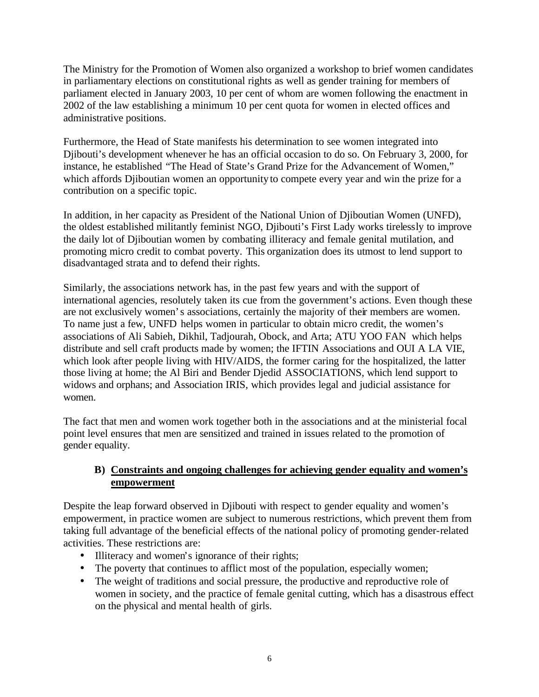The Ministry for the Promotion of Women also organized a workshop to brief women candidates in parliamentary elections on constitutional rights as well as gender training for members of parliament elected in January 2003, 10 per cent of whom are women following the enactment in 2002 of the law establishing a minimum 10 per cent quota for women in elected offices and administrative positions.

Furthermore, the Head of State manifests his determination to see women integrated into Djibouti's development whenever he has an official occasion to do so. On February 3, 2000, for instance, he established "The Head of State's Grand Prize for the Advancement of Women," which affords Djiboutian women an opportunity to compete every year and win the prize for a contribution on a specific topic.

In addition, in her capacity as President of the National Union of Djiboutian Women (UNFD), the oldest established militantly feminist NGO, Djibouti's First Lady works tirelessly to improve the daily lot of Djiboutian women by combating illiteracy and female genital mutilation, and promoting micro credit to combat poverty. This organization does its utmost to lend support to disadvantaged strata and to defend their rights.

Similarly, the associations network has, in the past few years and with the support of international agencies, resolutely taken its cue from the government's actions. Even though these are not exclusively women's associations, certainly the majority of their members are women. To name just a few, UNFD helps women in particular to obtain micro credit, the women's associations of Ali Sabieh, Dikhil, Tadjourah, Obock, and Arta; ATU YOO FAN which helps distribute and sell craft products made by women; the IFTIN Associations and OUI A LA VIE, which look after people living with HIV/AIDS, the former caring for the hospitalized, the latter those living at home; the Al Biri and Bender Djedid ASSOCIATIONS, which lend support to widows and orphans; and Association IRIS, which provides legal and judicial assistance for women.

The fact that men and women work together both in the associations and at the ministerial focal point level ensures that men are sensitized and trained in issues related to the promotion of gender equality.

# **B) Constraints and ongoing challenges for achieving gender equality and women's empowerment**

Despite the leap forward observed in Djibouti with respect to gender equality and women's empowerment, in practice women are subject to numerous restrictions, which prevent them from taking full advantage of the beneficial effects of the national policy of promoting gender-related activities. These restrictions are:

- Illiteracy and women's ignorance of their rights;
- The poverty that continues to afflict most of the population, especially women;
- The weight of traditions and social pressure, the productive and reproductive role of women in society, and the practice of female genital cutting, which has a disastrous effect on the physical and mental health of girls.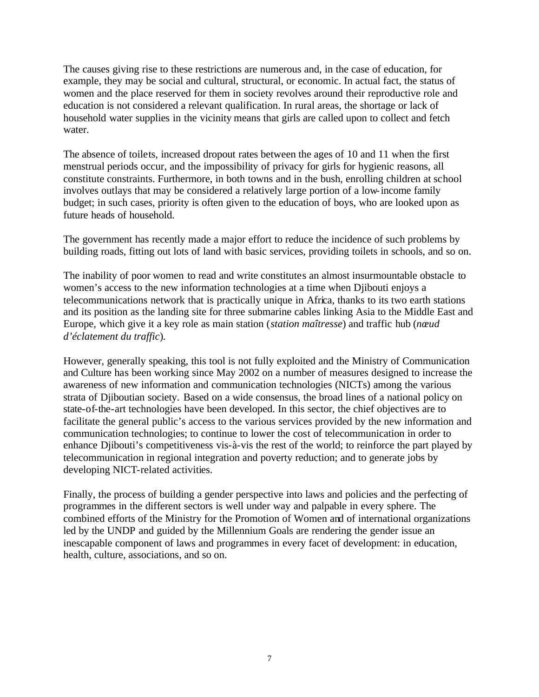The causes giving rise to these restrictions are numerous and, in the case of education, for example, they may be social and cultural, structural, or economic. In actual fact, the status of women and the place reserved for them in society revolves around their reproductive role and education is not considered a relevant qualification. In rural areas, the shortage or lack of household water supplies in the vicinity means that girls are called upon to collect and fetch water.

The absence of toilets, increased dropout rates between the ages of 10 and 11 when the first menstrual periods occur, and the impossibility of privacy for girls for hygienic reasons, all constitute constraints. Furthermore, in both towns and in the bush, enrolling children at school involves outlays that may be considered a relatively large portion of a low-income family budget; in such cases, priority is often given to the education of boys, who are looked upon as future heads of household.

The government has recently made a major effort to reduce the incidence of such problems by building roads, fitting out lots of land with basic services, providing toilets in schools, and so on.

The inability of poor women to read and write constitutes an almost insurmountable obstacle to women's access to the new information technologies at a time when Djibouti enjoys a telecommunications network that is practically unique in Africa, thanks to its two earth stations and its position as the landing site for three submarine cables linking Asia to the Middle East and Europe, which give it a key role as main station (*station maîtresse*) and traffic hub (*nœud d'éclatement du traffic*).

However, generally speaking, this tool is not fully exploited and the Ministry of Communication and Culture has been working since May 2002 on a number of measures designed to increase the awareness of new information and communication technologies (NICTs) among the various strata of Djiboutian society. Based on a wide consensus, the broad lines of a national policy on state-of-the-art technologies have been developed. In this sector, the chief objectives are to facilitate the general public's access to the various services provided by the new information and communication technologies; to continue to lower the cost of telecommunication in order to enhance Djibouti's competitiveness vis-à-vis the rest of the world; to reinforce the part played by telecommunication in regional integration and poverty reduction; and to generate jobs by developing NICT-related activities.

Finally, the process of building a gender perspective into laws and policies and the perfecting of programmes in the different sectors is well under way and palpable in every sphere. The combined efforts of the Ministry for the Promotion of Women and of international organizations led by the UNDP and guided by the Millennium Goals are rendering the gender issue an inescapable component of laws and programmes in every facet of development: in education, health, culture, associations, and so on.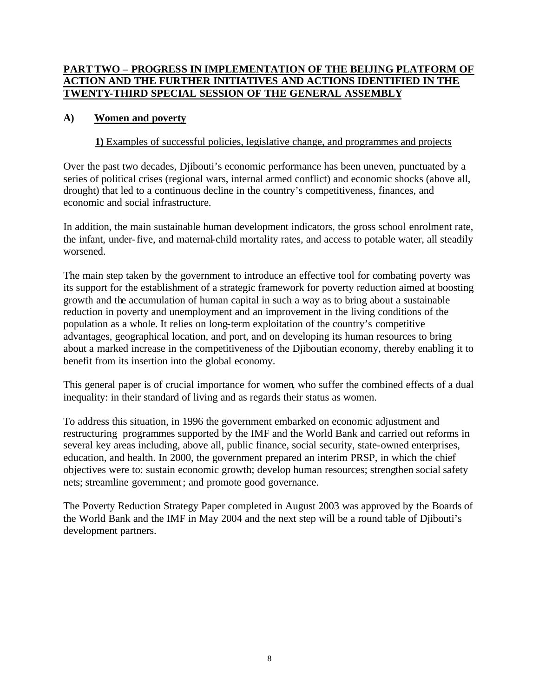## **PART TWO – PROGRESS IN IMPLEMENTATION OF THE BEIJING PLATFORM OF ACTION AND THE FURTHER INITIATIVES AND ACTIONS IDENTIFIED IN THE TWENTY-THIRD SPECIAL SESSION OF THE GENERAL ASSEMBLY**

#### **A) Women and poverty**

#### **1)** Examples of successful policies, legislative change, and programmes and projects

Over the past two decades, Djibouti's economic performance has been uneven, punctuated by a series of political crises (regional wars, internal armed conflict) and economic shocks (above all, drought) that led to a continuous decline in the country's competitiveness, finances, and economic and social infrastructure.

In addition, the main sustainable human development indicators, the gross school enrolment rate, the infant, under-five, and maternal-child mortality rates, and access to potable water, all steadily worsened.

The main step taken by the government to introduce an effective tool for combating poverty was its support for the establishment of a strategic framework for poverty reduction aimed at boosting growth and the accumulation of human capital in such a way as to bring about a sustainable reduction in poverty and unemployment and an improvement in the living conditions of the population as a whole. It relies on long-term exploitation of the country's competitive advantages, geographical location, and port, and on developing its human resources to bring about a marked increase in the competitiveness of the Djiboutian economy, thereby enabling it to benefit from its insertion into the global economy.

This general paper is of crucial importance for women, who suffer the combined effects of a dual inequality: in their standard of living and as regards their status as women.

To address this situation, in 1996 the government embarked on economic adjustment and restructuring programmes supported by the IMF and the World Bank and carried out reforms in several key areas including, above all, public finance, social security, state-owned enterprises, education, and health. In 2000, the government prepared an interim PRSP, in which the chief objectives were to: sustain economic growth; develop human resources; strengthen social safety nets; streamline government; and promote good governance.

The Poverty Reduction Strategy Paper completed in August 2003 was approved by the Boards of the World Bank and the IMF in May 2004 and the next step will be a round table of Djibouti's development partners.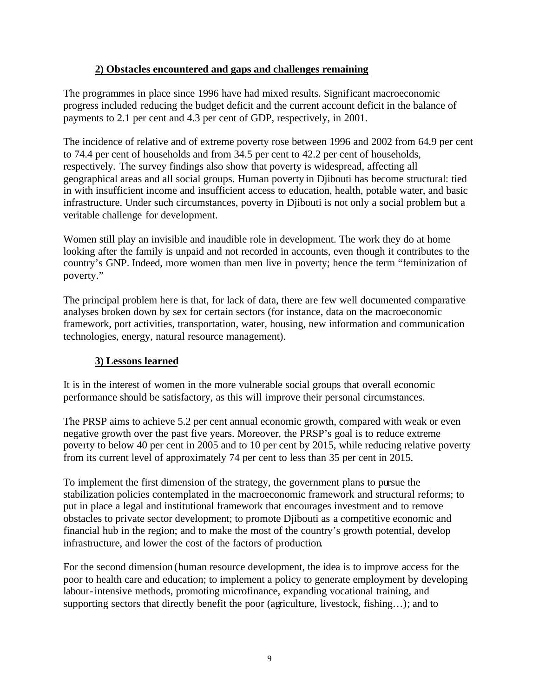#### **2) Obstacles encountered and gaps and challenges remaining**

The programmes in place since 1996 have had mixed results. Significant macroeconomic progress included reducing the budget deficit and the current account deficit in the balance of payments to 2.1 per cent and 4.3 per cent of GDP, respectively, in 2001.

The incidence of relative and of extreme poverty rose between 1996 and 2002 from 64.9 per cent to 74.4 per cent of households and from 34.5 per cent to 42.2 per cent of households, respectively. The survey findings also show that poverty is widespread, affecting all geographical areas and all social groups. Human poverty in Djibouti has become structural: tied in with insufficient income and insufficient access to education, health, potable water, and basic infrastructure. Under such circumstances, poverty in Djibouti is not only a social problem but a veritable challenge for development.

Women still play an invisible and inaudible role in development. The work they do at home looking after the family is unpaid and not recorded in accounts, even though it contributes to the country's GNP. Indeed, more women than men live in poverty; hence the term "feminization of poverty."

The principal problem here is that, for lack of data, there are few well documented comparative analyses broken down by sex for certain sectors (for instance, data on the macroeconomic framework, port activities, transportation, water, housing, new information and communication technologies, energy, natural resource management).

# **3) Lessons learned**

It is in the interest of women in the more vulnerable social groups that overall economic performance should be satisfactory, as this will improve their personal circumstances.

The PRSP aims to achieve 5.2 per cent annual economic growth, compared with weak or even negative growth over the past five years. Moreover, the PRSP's goal is to reduce extreme poverty to below 40 per cent in 2005 and to 10 per cent by 2015, while reducing relative poverty from its current level of approximately 74 per cent to less than 35 per cent in 2015.

To implement the first dimension of the strategy, the government plans to pursue the stabilization policies contemplated in the macroeconomic framework and structural reforms; to put in place a legal and institutional framework that encourages investment and to remove obstacles to private sector development; to promote Djibouti as a competitive economic and financial hub in the region; and to make the most of the country's growth potential, develop infrastructure, and lower the cost of the factors of production.

For the second dimension (human resource development, the idea is to improve access for the poor to health care and education; to implement a policy to generate employment by developing labour-intensive methods, promoting microfinance, expanding vocational training, and supporting sectors that directly benefit the poor (agriculture, livestock, fishing…); and to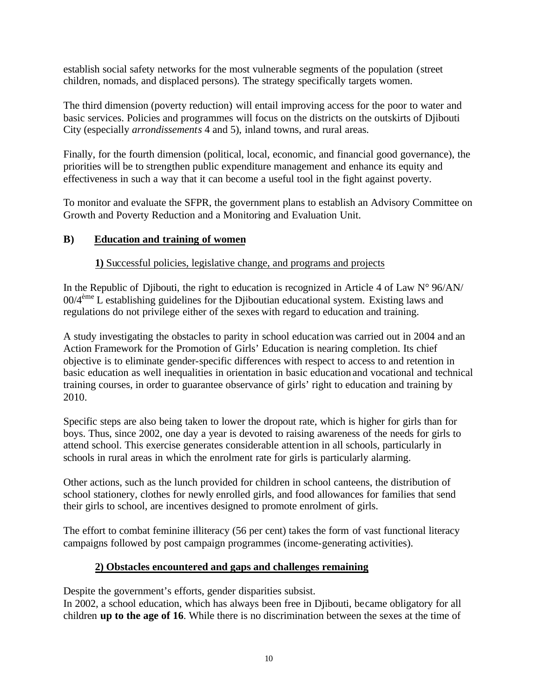establish social safety networks for the most vulnerable segments of the population (street children, nomads, and displaced persons). The strategy specifically targets women.

The third dimension (poverty reduction) will entail improving access for the poor to water and basic services. Policies and programmes will focus on the districts on the outskirts of Djibouti City (especially *arrondissements* 4 and 5), inland towns, and rural areas.

Finally, for the fourth dimension (political, local, economic, and financial good governance), the priorities will be to strengthen public expenditure management and enhance its equity and effectiveness in such a way that it can become a useful tool in the fight against poverty.

To monitor and evaluate the SFPR, the government plans to establish an Advisory Committee on Growth and Poverty Reduction and a Monitoring and Evaluation Unit.

# **B) Education and training of women**

# **1)** Successful policies, legislative change, and programs and projects

In the Republic of Djibouti, the right to education is recognized in Article 4 of Law  $N^{\circ}$  96/AN/ 00/4ème L establishing guidelines for the Djiboutian educational system. Existing laws and regulations do not privilege either of the sexes with regard to education and training.

A study investigating the obstacles to parity in school education was carried out in 2004 and an Action Framework for the Promotion of Girls' Education is nearing completion. Its chief objective is to eliminate gender-specific differences with respect to access to and retention in basic education as well inequalities in orientation in basic educationand vocational and technical training courses, in order to guarantee observance of girls' right to education and training by 2010.

Specific steps are also being taken to lower the dropout rate, which is higher for girls than for boys. Thus, since 2002, one day a year is devoted to raising awareness of the needs for girls to attend school. This exercise generates considerable attention in all schools, particularly in schools in rural areas in which the enrolment rate for girls is particularly alarming.

Other actions, such as the lunch provided for children in school canteens, the distribution of school stationery, clothes for newly enrolled girls, and food allowances for families that send their girls to school, are incentives designed to promote enrolment of girls.

The effort to combat feminine illiteracy (56 per cent) takes the form of vast functional literacy campaigns followed by post campaign programmes (income-generating activities).

# **2) Obstacles encountered and gaps and challenges remaining**

Despite the government's efforts, gender disparities subsist.

In 2002, a school education, which has always been free in Djibouti, became obligatory for all children **up to the age of 16**. While there is no discrimination between the sexes at the time of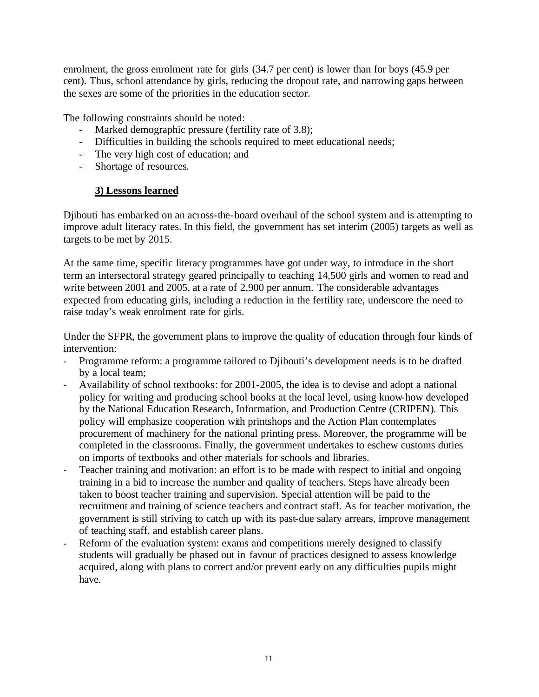enrolment, the gross enrolment rate for girls (34.7 per cent) is lower than for boys (45.9 per cent). Thus, school attendance by girls, reducing the dropout rate, and narrowing gaps between the sexes are some of the priorities in the education sector.

The following constraints should be noted:

- Marked demographic pressure (fertility rate of 3.8);
- Difficulties in building the schools required to meet educational needs;
- The very high cost of education; and
- Shortage of resources.

#### **3) Lessons learned**

Djibouti has embarked on an across-the-board overhaul of the school system and is attempting to improve adult literacy rates. In this field, the government has set interim (2005) targets as well as targets to be met by 2015.

At the same time, specific literacy programmes have got under way, to introduce in the short term an intersectoral strategy geared principally to teaching 14,500 girls and women to read and write between 2001 and 2005, at a rate of 2,900 per annum. The considerable advantages expected from educating girls, including a reduction in the fertility rate, underscore the need to raise today's weak enrolment rate for girls.

Under the SFPR, the government plans to improve the quality of education through four kinds of intervention:

- Programme reform: a programme tailored to Djibouti's development needs is to be drafted by a local team;
- Availability of school textbooks: for 2001-2005, the idea is to devise and adopt a national policy for writing and producing school books at the local level, using know-how developed by the National Education Research, Information, and Production Centre (CRIPEN). This policy will emphasize cooperation with printshops and the Action Plan contemplates procurement of machinery for the national printing press. Moreover, the programme will be completed in the classrooms. Finally, the government undertakes to eschew customs duties on imports of textbooks and other materials for schools and libraries.
- Teacher training and motivation: an effort is to be made with respect to initial and ongoing training in a bid to increase the number and quality of teachers. Steps have already been taken to boost teacher training and supervision. Special attention will be paid to the recruitment and training of science teachers and contract staff. As for teacher motivation, the government is still striving to catch up with its past-due salary arrears, improve management of teaching staff, and establish career plans.
- Reform of the evaluation system: exams and competitions merely designed to classify students will gradually be phased out in favour of practices designed to assess knowledge acquired, along with plans to correct and/or prevent early on any difficulties pupils might have.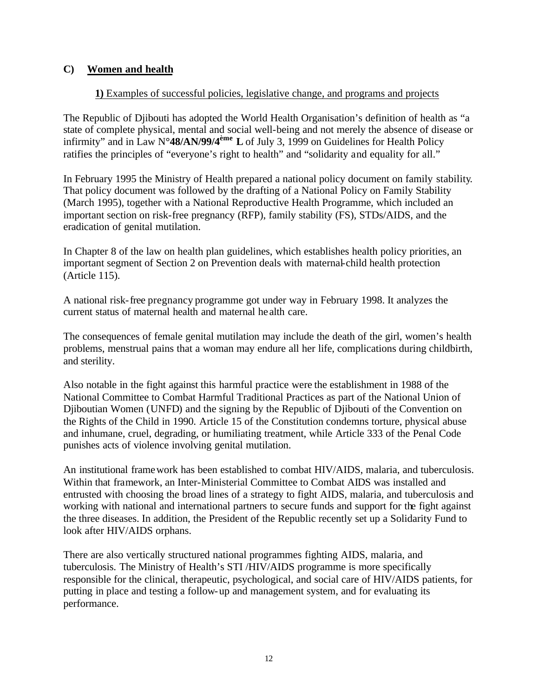#### **C) Women and health**

#### **1)** Examples of successful policies, legislative change, and programs and projects

The Republic of Djibouti has adopted the World Health Organisation's definition of health as "a state of complete physical, mental and social well-being and not merely the absence of disease or infirmity" and in Law N**°48/AN/99/4ème L** of July 3, 1999 on Guidelines for Health Policy ratifies the principles of "everyone's right to health" and "solidarity and equality for all."

In February 1995 the Ministry of Health prepared a national policy document on family stability. That policy document was followed by the drafting of a National Policy on Family Stability (March 1995), together with a National Reproductive Health Programme, which included an important section on risk-free pregnancy (RFP), family stability (FS), STDs/AIDS, and the eradication of genital mutilation.

In Chapter 8 of the law on health plan guidelines, which establishes health policy priorities, an important segment of Section 2 on Prevention deals with maternal-child health protection (Article 115).

A national risk-free pregnancy programme got under way in February 1998. It analyzes the current status of maternal health and maternal he alth care.

The consequences of female genital mutilation may include the death of the girl, women's health problems, menstrual pains that a woman may endure all her life, complications during childbirth, and sterility.

Also notable in the fight against this harmful practice were the establishment in 1988 of the National Committee to Combat Harmful Traditional Practices as part of the National Union of Djiboutian Women (UNFD) and the signing by the Republic of Djibouti of the Convention on the Rights of the Child in 1990. Article 15 of the Constitution condemns torture, physical abuse and inhumane, cruel, degrading, or humiliating treatment, while Article 333 of the Penal Code punishes acts of violence involving genital mutilation.

An institutional framework has been established to combat HIV/AIDS, malaria, and tuberculosis. Within that framework, an Inter-Ministerial Committee to Combat AIDS was installed and entrusted with choosing the broad lines of a strategy to fight AIDS, malaria, and tuberculosis and working with national and international partners to secure funds and support for the fight against the three diseases. In addition, the President of the Republic recently set up a Solidarity Fund to look after HIV/AIDS orphans.

There are also vertically structured national programmes fighting AIDS, malaria, and tuberculosis. The Ministry of Health's STI /HIV/AIDS programme is more specifically responsible for the clinical, therapeutic, psychological, and social care of HIV/AIDS patients, for putting in place and testing a follow-up and management system, and for evaluating its performance.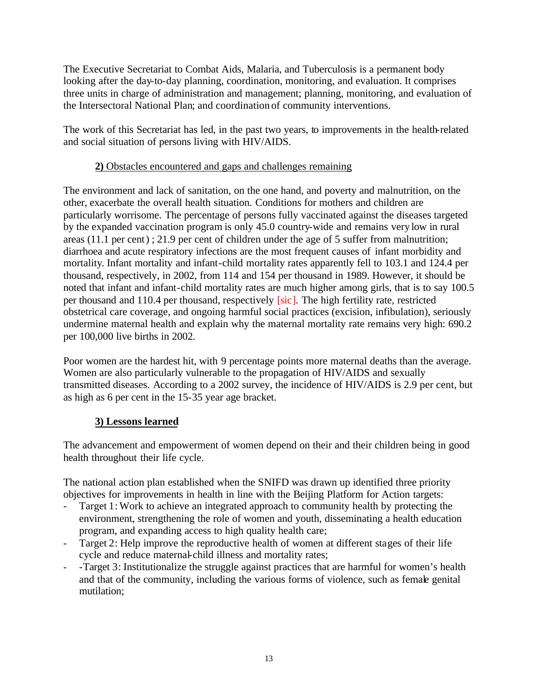The Executive Secretariat to Combat Aids, Malaria, and Tuberculosis is a permanent body looking after the day-to-day planning, coordination, monitoring, and evaluation. It comprises three units in charge of administration and management; planning, monitoring, and evaluation of the Intersectoral National Plan; and coordination of community interventions.

The work of this Secretariat has led, in the past two years, to improvements in the health-related and social situation of persons living with HIV/AIDS.

#### **2)** Obstacles encountered and gaps and challenges remaining

The environment and lack of sanitation, on the one hand, and poverty and malnutrition, on the other, exacerbate the overall health situation. Conditions for mothers and children are particularly worrisome. The percentage of persons fully vaccinated against the diseases targeted by the expanded vaccination program is only 45.0 country-wide and remains very low in rural areas (11.1 per cent) ; 21.9 per cent of children under the age of 5 suffer from malnutrition; diarrhoea and acute respiratory infections are the most frequent causes of infant morbidity and mortality. Infant mortality and infant-child mortality rates apparently fell to 103.1 and 124.4 per thousand, respectively, in 2002, from 114 and 154 per thousand in 1989. However, it should be noted that infant and infant-child mortality rates are much higher among girls, that is to say 100.5 per thousand and 110.4 per thousand, respectively [sic]. The high fertility rate, restricted obstetrical care coverage, and ongoing harmful social practices (excision, infibulation), seriously undermine maternal health and explain why the maternal mortality rate remains very high: 690.2 per 100,000 live births in 2002.

Poor women are the hardest hit, with 9 percentage points more maternal deaths than the average. Women are also particularly vulnerable to the propagation of HIV/AIDS and sexually transmitted diseases. According to a 2002 survey, the incidence of HIV/AIDS is 2.9 per cent, but as high as 6 per cent in the 15-35 year age bracket.

# **3) Lessons learned**

The advancement and empowerment of women depend on their and their children being in good health throughout their life cycle.

The national action plan established when the SNIFD was drawn up identified three priority objectives for improvements in health in line with the Beijing Platform for Action targets:

- Target 1: Work to achieve an integrated approach to community health by protecting the environment, strengthening the role of women and youth, disseminating a health education program, and expanding access to high quality health care;
- Target 2: Help improve the reproductive health of women at different stages of their life cycle and reduce maternal-child illness and mortality rates;
- -Target 3: Institutionalize the struggle against practices that are harmful for women's health and that of the community, including the various forms of violence, such as female genital mutilation;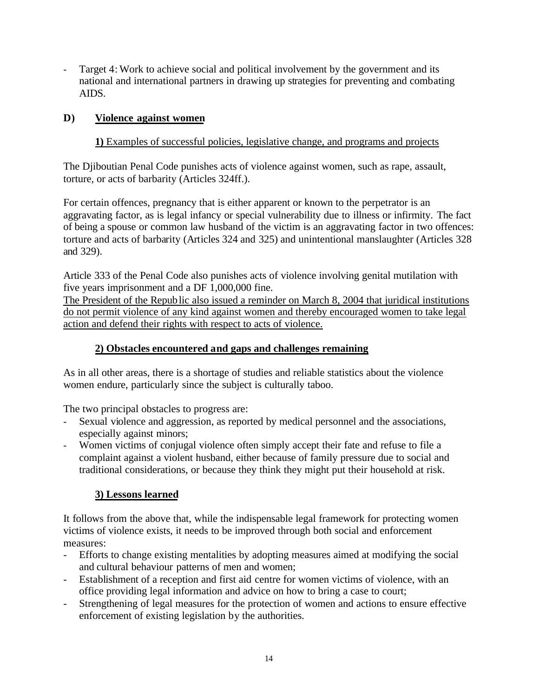- Target 4: Work to achieve social and political involvement by the government and its national and international partners in drawing up strategies for preventing and combating AIDS.

## **D) Violence against women**

## **1)** Examples of successful policies, legislative change, and programs and projects

The Djiboutian Penal Code punishes acts of violence against women, such as rape, assault, torture, or acts of barbarity (Articles 324ff.).

For certain offences, pregnancy that is either apparent or known to the perpetrator is an aggravating factor, as is legal infancy or special vulnerability due to illness or infirmity. The fact of being a spouse or common law husband of the victim is an aggravating factor in two offences: torture and acts of barbarity (Articles 324 and 325) and unintentional manslaughter (Articles 328 and 329).

Article 333 of the Penal Code also punishes acts of violence involving genital mutilation with five years imprisonment and a DF 1,000,000 fine.

The President of the Republic also issued a reminder on March 8, 2004 that juridical institutions do not permit violence of any kind against women and thereby encouraged women to take legal action and defend their rights with respect to acts of violence.

## **2) Obstacles encountered and gaps and challenges remaining**

As in all other areas, there is a shortage of studies and reliable statistics about the violence women endure, particularly since the subject is culturally taboo.

The two principal obstacles to progress are:

- Sexual violence and aggression, as reported by medical personnel and the associations, especially against minors;
- Women victims of conjugal violence often simply accept their fate and refuse to file a complaint against a violent husband, either because of family pressure due to social and traditional considerations, or because they think they might put their household at risk.

# **3) Lessons learned**

It follows from the above that, while the indispensable legal framework for protecting women victims of violence exists, it needs to be improved through both social and enforcement measures:

- Efforts to change existing mentalities by adopting measures aimed at modifying the social and cultural behaviour patterns of men and women;
- Establishment of a reception and first aid centre for women victims of violence, with an office providing legal information and advice on how to bring a case to court;
- Strengthening of legal measures for the protection of women and actions to ensure effective enforcement of existing legislation by the authorities.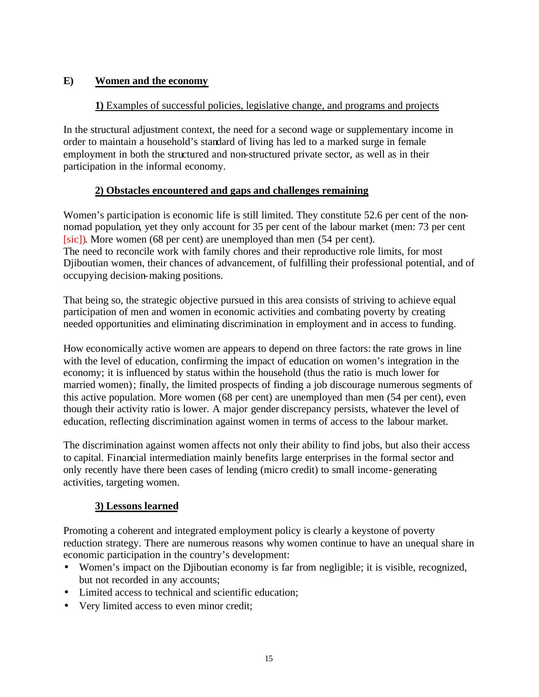## **E) Women and the economy**

## **1)** Examples of successful policies, legislative change, and programs and projects

In the structural adjustment context, the need for a second wage or supplementary income in order to maintain a household's standard of living has led to a marked surge in female employment in both the structured and non-structured private sector, as well as in their participation in the informal economy.

# **2) Obstacles encountered and gaps and challenges remaining**

Women's participation is economic life is still limited. They constitute 52.6 per cent of the nonnomad population, yet they only account for 35 per cent of the labour market (men: 73 per cent [sic]). More women (68 per cent) are unemployed than men (54 per cent). The need to reconcile work with family chores and their reproductive role limits, for most Djiboutian women, their chances of advancement, of fulfilling their professional potential, and of occupying decision-making positions.

That being so, the strategic objective pursued in this area consists of striving to achieve equal participation of men and women in economic activities and combating poverty by creating needed opportunities and eliminating discrimination in employment and in access to funding.

How economically active women are appears to depend on three factors: the rate grows in line with the level of education, confirming the impact of education on women's integration in the economy; it is influenced by status within the household (thus the ratio is much lower for married women); finally, the limited prospects of finding a job discourage numerous segments of this active population. More women (68 per cent) are unemployed than men (54 per cent), even though their activity ratio is lower. A major gender discrepancy persists, whatever the level of education, reflecting discrimination against women in terms of access to the labour market.

The discrimination against women affects not only their ability to find jobs, but also their access to capital. Financial intermediation mainly benefits large enterprises in the formal sector and only recently have there been cases of lending (micro credit) to small income-generating activities, targeting women.

# **3) Lessons learned**

Promoting a coherent and integrated employment policy is clearly a keystone of poverty reduction strategy. There are numerous reasons why women continue to have an unequal share in economic participation in the country's development:

- Women's impact on the Djiboutian economy is far from negligible; it is visible, recognized, but not recorded in any accounts;
- Limited access to technical and scientific education:
- Very limited access to even minor credit;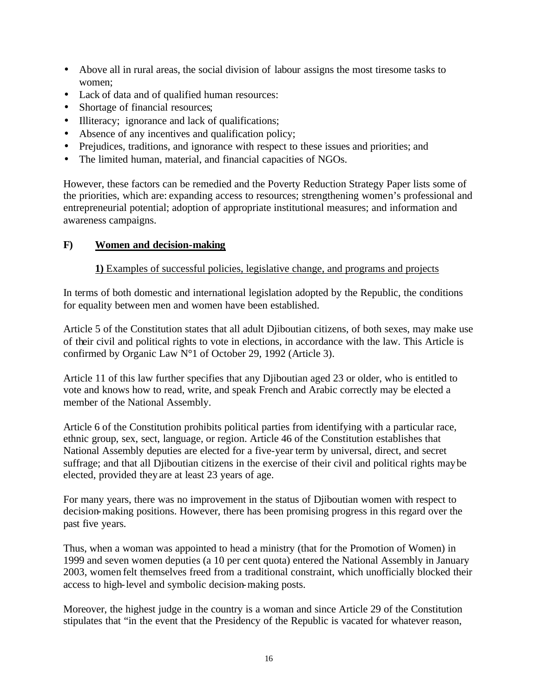- Above all in rural areas, the social division of labour assigns the most tiresome tasks to women;
- Lack of data and of qualified human resources:
- Shortage of financial resources;
- Illiteracy; ignorance and lack of qualifications;
- Absence of any incentives and qualification policy;
- Prejudices, traditions, and ignorance with respect to these issues and priorities; and
- The limited human, material, and financial capacities of NGOs.

However, these factors can be remedied and the Poverty Reduction Strategy Paper lists some of the priorities, which are: expanding access to resources; strengthening women's professional and entrepreneurial potential; adoption of appropriate institutional measures; and information and awareness campaigns.

#### **F) Women and decision-making**

#### **1)** Examples of successful policies, legislative change, and programs and projects

In terms of both domestic and international legislation adopted by the Republic, the conditions for equality between men and women have been established.

Article 5 of the Constitution states that all adult Djiboutian citizens, of both sexes, may make use of their civil and political rights to vote in elections, in accordance with the law. This Article is confirmed by Organic Law N°1 of October 29, 1992 (Article 3).

Article 11 of this law further specifies that any Djiboutian aged 23 or older, who is entitled to vote and knows how to read, write, and speak French and Arabic correctly may be elected a member of the National Assembly.

Article 6 of the Constitution prohibits political parties from identifying with a particular race, ethnic group, sex, sect, language, or region. Article 46 of the Constitution establishes that National Assembly deputies are elected for a five-year term by universal, direct, and secret suffrage; and that all Djiboutian citizens in the exercise of their civil and political rights may be elected, provided they are at least 23 years of age.

For many years, there was no improvement in the status of Djiboutian women with respect to decision-making positions. However, there has been promising progress in this regard over the past five years.

Thus, when a woman was appointed to head a ministry (that for the Promotion of Women) in 1999 and seven women deputies (a 10 per cent quota) entered the National Assembly in January 2003, women felt themselves freed from a traditional constraint, which unofficially blocked their access to high-level and symbolic decision-making posts.

Moreover, the highest judge in the country is a woman and since Article 29 of the Constitution stipulates that "in the event that the Presidency of the Republic is vacated for whatever reason,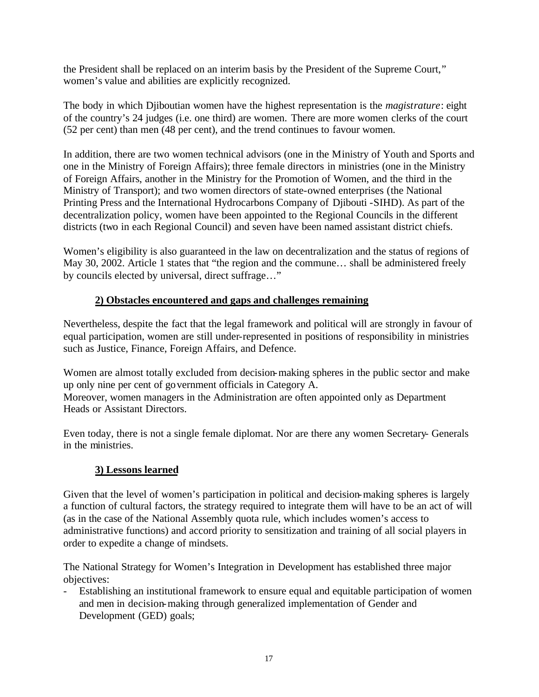the President shall be replaced on an interim basis by the President of the Supreme Court," women's value and abilities are explicitly recognized.

The body in which Djiboutian women have the highest representation is the *magistrature*: eight of the country's 24 judges (i.e. one third) are women. There are more women clerks of the court (52 per cent) than men (48 per cent), and the trend continues to favour women.

In addition, there are two women technical advisors (one in the Ministry of Youth and Sports and one in the Ministry of Foreign Affairs); three female directors in ministries (one in the Ministry of Foreign Affairs, another in the Ministry for the Promotion of Women, and the third in the Ministry of Transport); and two women directors of state-owned enterprises (the National Printing Press and the International Hydrocarbons Company of Djibouti -SIHD). As part of the decentralization policy, women have been appointed to the Regional Councils in the different districts (two in each Regional Council) and seven have been named assistant district chiefs.

Women's eligibility is also guaranteed in the law on decentralization and the status of regions of May 30, 2002. Article 1 states that "the region and the commune... shall be administered freely by councils elected by universal, direct suffrage…"

# **2) Obstacles encountered and gaps and challenges remaining**

Nevertheless, despite the fact that the legal framework and political will are strongly in favour of equal participation, women are still under-represented in positions of responsibility in ministries such as Justice, Finance, Foreign Affairs, and Defence.

Women are almost totally excluded from decision-making spheres in the public sector and make up only nine per cent of government officials in Category A. Moreover, women managers in the Administration are often appointed only as Department Heads or Assistant Directors.

Even today, there is not a single female diplomat. Nor are there any women Secretary- Generals in the ministries.

# **3) Lessons learned**

Given that the level of women's participation in political and decision-making spheres is largely a function of cultural factors, the strategy required to integrate them will have to be an act of will (as in the case of the National Assembly quota rule, which includes women's access to administrative functions) and accord priority to sensitization and training of all social players in order to expedite a change of mindsets.

The National Strategy for Women's Integration in Development has established three major objectives:

- Establishing an institutional framework to ensure equal and equitable participation of women and men in decision-making through generalized implementation of Gender and Development (GED) goals;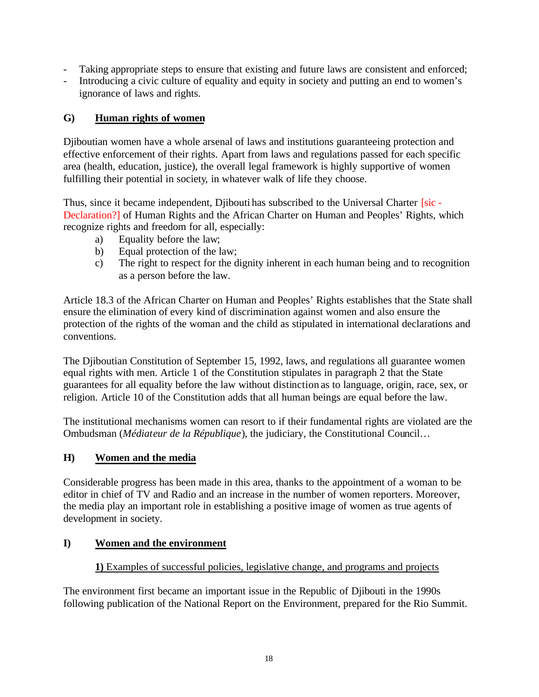- Taking appropriate steps to ensure that existing and future laws are consistent and enforced;
- Introducing a civic culture of equality and equity in society and putting an end to women's ignorance of laws and rights.

## **G) Human rights of women**

Djiboutian women have a whole arsenal of laws and institutions guaranteeing protection and effective enforcement of their rights. Apart from laws and regulations passed for each specific area (health, education, justice), the overall legal framework is highly supportive of women fulfilling their potential in society, in whatever walk of life they choose.

Thus, since it became independent, Djibouti has subscribed to the Universal Charter [sic -Declaration?] of Human Rights and the African Charter on Human and Peoples' Rights, which recognize rights and freedom for all, especially:

- a) Equality before the law;
- b) Equal protection of the law;
- c) The right to respect for the dignity inherent in each human being and to recognition as a person before the law.

Article 18.3 of the African Charter on Human and Peoples' Rights establishes that the State shall ensure the elimination of every kind of discrimination against women and also ensure the protection of the rights of the woman and the child as stipulated in international declarations and conventions.

The Djiboutian Constitution of September 15, 1992, laws, and regulations all guarantee women equal rights with men. Article 1 of the Constitution stipulates in paragraph 2 that the State guarantees for all equality before the law without distinction as to language, origin, race, sex, or religion. Article 10 of the Constitution adds that all human beings are equal before the law.

The institutional mechanisms women can resort to if their fundamental rights are violated are the Ombudsman (*Médiateur de la République*), the judiciary, the Constitutional Council…

# **H) Women and the media**

Considerable progress has been made in this area, thanks to the appointment of a woman to be editor in chief of TV and Radio and an increase in the number of women reporters. Moreover, the media play an important role in establishing a positive image of women as true agents of development in society.

# **I) Women and the environment**

# **1)** Examples of successful policies, legislative change, and programs and projects

The environment first became an important issue in the Republic of Djibouti in the 1990s following publication of the National Report on the Environment, prepared for the Rio Summit.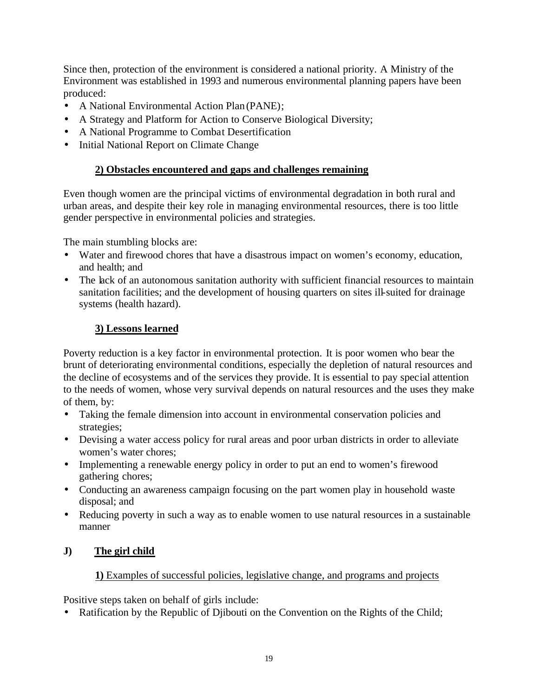Since then, protection of the environment is considered a national priority. A Ministry of the Environment was established in 1993 and numerous environmental planning papers have been produced:

- A National Environmental Action Plan (PANE);
- A Strategy and Platform for Action to Conserve Biological Diversity;
- A National Programme to Combat Desertification
- Initial National Report on Climate Change

## **2) Obstacles encountered and gaps and challenges remaining**

Even though women are the principal victims of environmental degradation in both rural and urban areas, and despite their key role in managing environmental resources, there is too little gender perspective in environmental policies and strategies.

The main stumbling blocks are:

- Water and firewood chores that have a disastrous impact on women's economy, education, and health; and
- The lack of an autonomous sanitation authority with sufficient financial resources to maintain sanitation facilities; and the development of housing quarters on sites ill-suited for drainage systems (health hazard).

## **3) Lessons learned**

Poverty reduction is a key factor in environmental protection. It is poor women who bear the brunt of deteriorating environmental conditions, especially the depletion of natural resources and the decline of ecosystems and of the services they provide. It is essential to pay special attention to the needs of women, whose very survival depends on natural resources and the uses they make of them, by:

- Taking the female dimension into account in environmental conservation policies and strategies;
- Devising a water access policy for rural areas and poor urban districts in order to alleviate women's water chores;
- Implementing a renewable energy policy in order to put an end to women's firewood gathering chores;
- Conducting an awareness campaign focusing on the part women play in household waste disposal; and
- Reducing poverty in such a way as to enable women to use natural resources in a sustainable manner

#### **J) The girl child**

#### **1)** Examples of successful policies, legislative change, and programs and projects

Positive steps taken on behalf of girls include:

• Ratification by the Republic of Djibouti on the Convention on the Rights of the Child;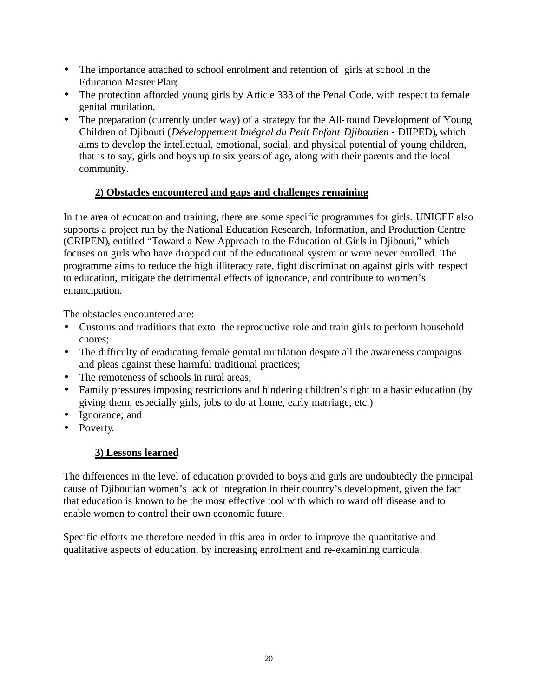- The importance attached to school enrolment and retention of girls at school in the Education Master Plan;
- The protection afforded young girls by Article 333 of the Penal Code, with respect to female genital mutilation.
- The preparation (currently under way) of a strategy for the All-round Development of Young Children of Djibouti (*Développement Intégral du Petit Enfant Djiboutien* - DIIPED), which aims to develop the intellectual, emotional, social, and physical potential of young children, that is to say, girls and boys up to six years of age, along with their parents and the local community.

# **2) Obstacles encountered and gaps and challenges remaining**

In the area of education and training, there are some specific programmes for girls. UNICEF also supports a project run by the National Education Research, Information, and Production Centre (CRIPEN), entitled "Toward a New Approach to the Education of Girls in Djibouti," which focuses on girls who have dropped out of the educational system or were never enrolled. The programme aims to reduce the high illiteracy rate, fight discrimination against girls with respect to education, mitigate the detrimental effects of ignorance, and contribute to women's emancipation.

The obstacles encountered are:

- Customs and traditions that extol the reproductive role and train girls to perform household chores;
- The difficulty of eradicating female genital mutilation despite all the awareness campaigns and pleas against these harmful traditional practices;
- The remoteness of schools in rural areas;
- Family pressures imposing restrictions and hindering children's right to a basic education (by giving them, especially girls, jobs to do at home, early marriage, etc.)
- Ignorance; and
- Poverty.

# **3) Lessons learned**

The differences in the level of education provided to boys and girls are undoubtedly the principal cause of Djiboutian women's lack of integration in their country's development, given the fact that education is known to be the most effective tool with which to ward off disease and to enable women to control their own economic future.

Specific efforts are therefore needed in this area in order to improve the quantitative and qualitative aspects of education, by increasing enrolment and re-examining curricula.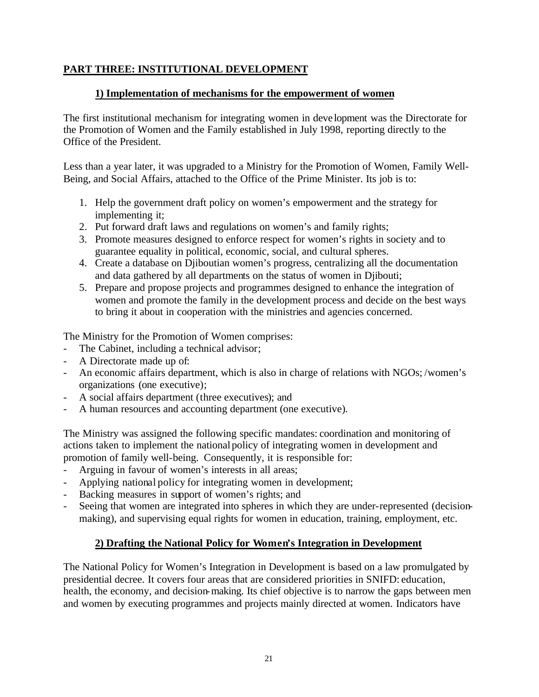## **PART THREE: INSTITUTIONAL DEVELOPMENT**

#### **1) Implementation of mechanisms for the empowerment of women**

The first institutional mechanism for integrating women in deve lopment was the Directorate for the Promotion of Women and the Family established in July 1998, reporting directly to the Office of the President.

Less than a year later, it was upgraded to a Ministry for the Promotion of Women, Family Well-Being, and Social Affairs, attached to the Office of the Prime Minister. Its job is to:

- 1. Help the government draft policy on women's empowerment and the strategy for implementing it;
- 2. Put forward draft laws and regulations on women's and family rights;
- 3. Promote measures designed to enforce respect for women's rights in society and to guarantee equality in political, economic, social, and cultural spheres.
- 4. Create a database on Djiboutian women's progress, centralizing all the documentation and data gathered by all departments on the status of women in Djibouti;
- 5. Prepare and propose projects and programmes designed to enhance the integration of women and promote the family in the development process and decide on the best ways to bring it about in cooperation with the ministries and agencies concerned.

The Ministry for the Promotion of Women comprises:

- The Cabinet, including a technical advisor;
- A Directorate made up of:
- An economic affairs department, which is also in charge of relations with NGOs; /women's organizations (one executive);
- A social affairs department (three executives); and
- A human resources and accounting department (one executive).

The Ministry was assigned the following specific mandates: coordination and monitoring of actions taken to implement the national policy of integrating women in development and promotion of family well-being. Consequently, it is responsible for:

- Arguing in favour of women's interests in all areas;
- Applying national policy for integrating women in development;
- Backing measures in support of women's rights; and
- Seeing that women are integrated into spheres in which they are under-represented (decisionmaking), and supervising equal rights for women in education, training, employment, etc.

#### **2) Drafting the National Policy for Women's Integration in Development**

The National Policy for Women's Integration in Development is based on a law promulgated by presidential decree. It covers four areas that are considered priorities in SNIFD: education, health, the economy, and decision-making. Its chief objective is to narrow the gaps between men and women by executing programmes and projects mainly directed at women. Indicators have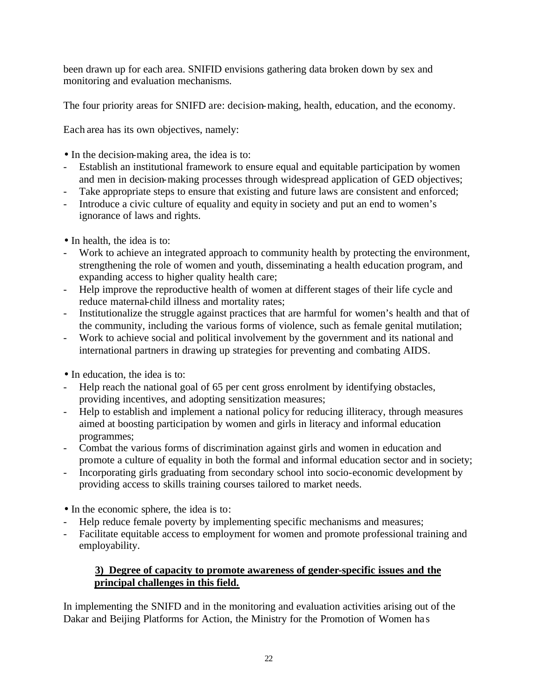been drawn up for each area. SNIFID envisions gathering data broken down by sex and monitoring and evaluation mechanisms.

The four priority areas for SNIFD are: decision-making, health, education, and the economy.

Each area has its own objectives, namely:

- In the decision-making area, the idea is to:
- Establish an institutional framework to ensure equal and equitable participation by women and men in decision-making processes through widespread application of GED objectives;
- Take appropriate steps to ensure that existing and future laws are consistent and enforced;
- Introduce a civic culture of equality and equity in society and put an end to women's ignorance of laws and rights.
- In health, the idea is to:
- Work to achieve an integrated approach to community health by protecting the environment, strengthening the role of women and youth, disseminating a health education program, and expanding access to higher quality health care;
- Help improve the reproductive health of women at different stages of their life cycle and reduce maternal-child illness and mortality rates;
- Institutionalize the struggle against practices that are harmful for women's health and that of the community, including the various forms of violence, such as female genital mutilation;
- Work to achieve social and political involvement by the government and its national and international partners in drawing up strategies for preventing and combating AIDS.
- In education, the idea is to:
- Help reach the national goal of 65 per cent gross enrolment by identifying obstacles, providing incentives, and adopting sensitization measures;
- Help to establish and implement a national policy for reducing illiteracy, through measures aimed at boosting participation by women and girls in literacy and informal education programmes;
- Combat the various forms of discrimination against girls and women in education and promote a culture of equality in both the formal and informal education sector and in society;
- Incorporating girls graduating from secondary school into socio-economic development by providing access to skills training courses tailored to market needs.
- In the economic sphere, the idea is to:
- Help reduce female poverty by implementing specific mechanisms and measures;
- Facilitate equitable access to employment for women and promote professional training and employability.

# **3) Degree of capacity to promote awareness of gender-specific issues and the principal challenges in this field.**

In implementing the SNIFD and in the monitoring and evaluation activities arising out of the Dakar and Beijing Platforms for Action, the Ministry for the Promotion of Women ha s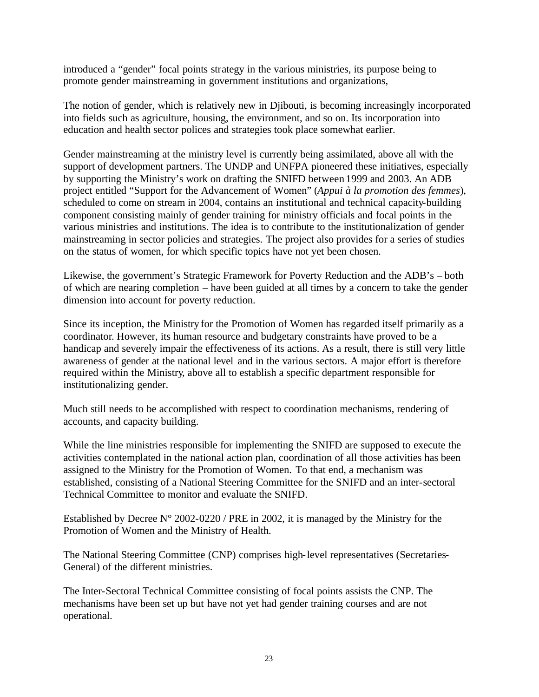introduced a "gender" focal points strategy in the various ministries, its purpose being to promote gender mainstreaming in government institutions and organizations,

The notion of gender, which is relatively new in Djibouti, is becoming increasingly incorporated into fields such as agriculture, housing, the environment, and so on. Its incorporation into education and health sector polices and strategies took place somewhat earlier.

Gender mainstreaming at the ministry level is currently being assimilated, above all with the support of development partners. The UNDP and UNFPA pioneered these initiatives, especially by supporting the Ministry's work on drafting the SNIFD between 1999 and 2003. An ADB project entitled "Support for the Advancement of Women" (*Appui à la promotion des femmes*), scheduled to come on stream in 2004, contains an institutional and technical capacity-building component consisting mainly of gender training for ministry officials and focal points in the various ministries and institutions. The idea is to contribute to the institutionalization of gender mainstreaming in sector policies and strategies. The project also provides for a series of studies on the status of women, for which specific topics have not yet been chosen.

Likewise, the government's Strategic Framework for Poverty Reduction and the ADB's – both of which are nearing completion – have been guided at all times by a concern to take the gender dimension into account for poverty reduction.

Since its inception, the Ministry for the Promotion of Women has regarded itself primarily as a coordinator. However, its human resource and budgetary constraints have proved to be a handicap and severely impair the effectiveness of its actions. As a result, there is still very little awareness of gender at the national level and in the various sectors. A major effort is therefore required within the Ministry, above all to establish a specific department responsible for institutionalizing gender.

Much still needs to be accomplished with respect to coordination mechanisms, rendering of accounts, and capacity building.

While the line ministries responsible for implementing the SNIFD are supposed to execute the activities contemplated in the national action plan, coordination of all those activities has been assigned to the Ministry for the Promotion of Women. To that end, a mechanism was established, consisting of a National Steering Committee for the SNIFD and an inter-sectoral Technical Committee to monitor and evaluate the SNIFD.

Established by Decree  $N^{\circ}$  2002-0220 / PRE in 2002, it is managed by the Ministry for the Promotion of Women and the Ministry of Health.

The National Steering Committee (CNP) comprises high-level representatives (Secretaries-General) of the different ministries.

The Inter-Sectoral Technical Committee consisting of focal points assists the CNP. The mechanisms have been set up but have not yet had gender training courses and are not operational.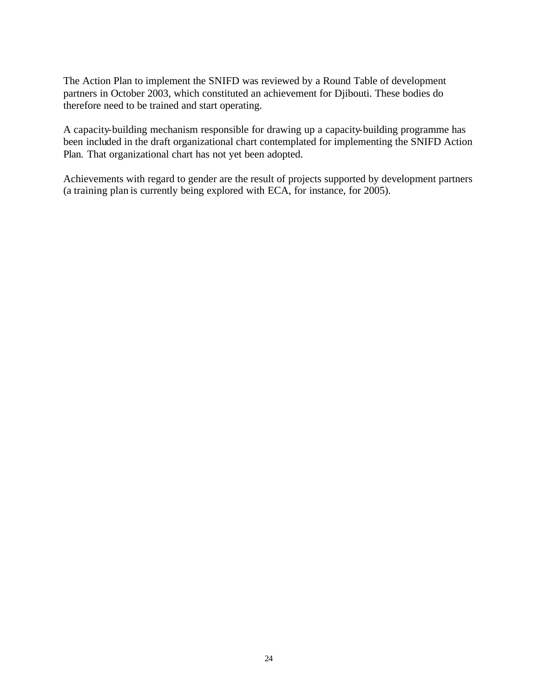The Action Plan to implement the SNIFD was reviewed by a Round Table of development partners in October 2003, which constituted an achievement for Djibouti. These bodies do therefore need to be trained and start operating.

A capacity-building mechanism responsible for drawing up a capacity-building programme has been included in the draft organizational chart contemplated for implementing the SNIFD Action Plan. That organizational chart has not yet been adopted.

Achievements with regard to gender are the result of projects supported by development partners (a training plan is currently being explored with ECA, for instance, for 2005).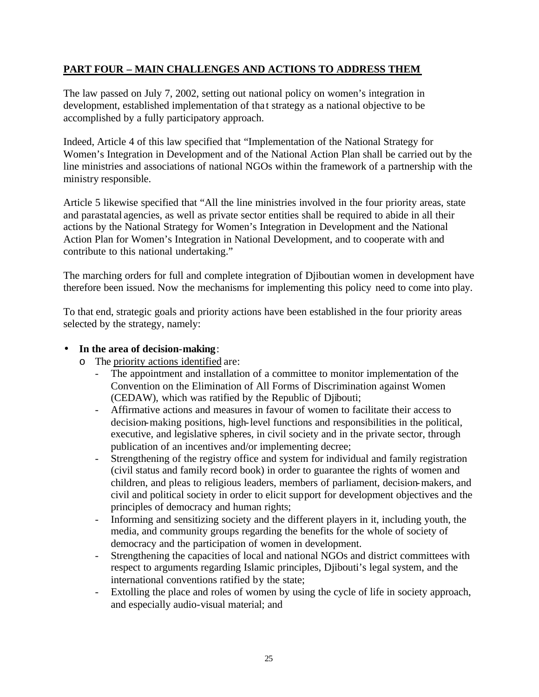## **PART FOUR – MAIN CHALLENGES AND ACTIONS TO ADDRESS THEM**

The law passed on July 7, 2002, setting out national policy on women's integration in development, established implementation of tha t strategy as a national objective to be accomplished by a fully participatory approach.

Indeed, Article 4 of this law specified that "Implementation of the National Strategy for Women's Integration in Development and of the National Action Plan shall be carried out by the line ministries and associations of national NGOs within the framework of a partnership with the ministry responsible.

Article 5 likewise specified that "All the line ministries involved in the four priority areas, state and parastatal agencies, as well as private sector entities shall be required to abide in all their actions by the National Strategy for Women's Integration in Development and the National Action Plan for Women's Integration in National Development, and to cooperate with and contribute to this national undertaking."

The marching orders for full and complete integration of Djiboutian women in development have therefore been issued. Now the mechanisms for implementing this policy need to come into play.

To that end, strategic goals and priority actions have been established in the four priority areas selected by the strategy, namely:

#### • **In the area of decision-making**:

- o The priority actions identified are:
	- The appointment and installation of a committee to monitor implementation of the Convention on the Elimination of All Forms of Discrimination against Women (CEDAW), which was ratified by the Republic of Djibouti;
	- Affirmative actions and measures in favour of women to facilitate their access to decision-making positions, high-level functions and responsibilities in the political, executive, and legislative spheres, in civil society and in the private sector, through publication of an incentives and/or implementing decree;
	- Strengthening of the registry office and system for individual and family registration (civil status and family record book) in order to guarantee the rights of women and children, and pleas to religious leaders, members of parliament, decision-makers, and civil and political society in order to elicit support for development objectives and the principles of democracy and human rights;
	- Informing and sensitizing society and the different players in it, including youth, the media, and community groups regarding the benefits for the whole of society of democracy and the participation of women in development.
	- Strengthening the capacities of local and national NGOs and district committees with respect to arguments regarding Islamic principles, Djibouti's legal system, and the international conventions ratified by the state;
	- Extolling the place and roles of women by using the cycle of life in society approach, and especially audio-visual material; and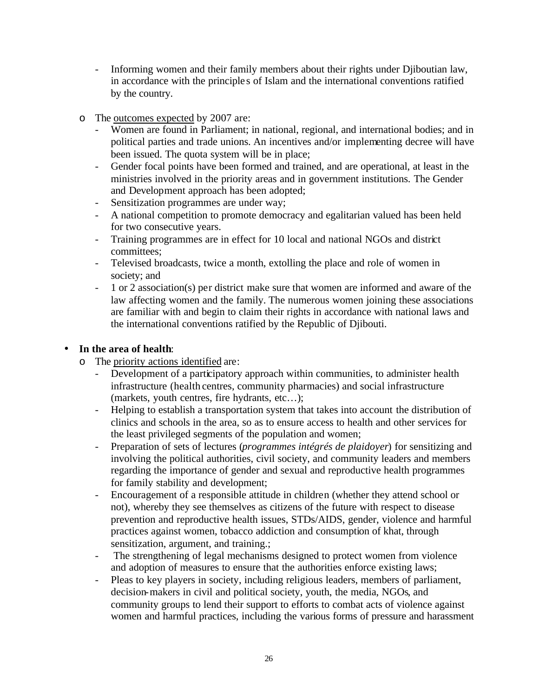- Informing women and their family members about their rights under Djiboutian law, in accordance with the principle s of Islam and the international conventions ratified by the country.
- o The outcomes expected by 2007 are:
	- Women are found in Parliament; in national, regional, and international bodies; and in political parties and trade unions. An incentives and/or implementing decree will have been issued. The quota system will be in place;
	- Gender focal points have been formed and trained, and are operational, at least in the ministries involved in the priority areas and in government institutions. The Gender and Development approach has been adopted;
	- Sensitization programmes are under way;
	- A national competition to promote democracy and egalitarian valued has been held for two consecutive years.
	- Training programmes are in effect for 10 local and national NGOs and district committees;
	- Televised broadcasts, twice a month, extolling the place and role of women in society; and
	- 1 or 2 association(s) per district make sure that women are informed and aware of the law affecting women and the family. The numerous women joining these associations are familiar with and begin to claim their rights in accordance with national laws and the international conventions ratified by the Republic of Djibouti.

#### • **In the area of health**:

- o The priority actions identified are:
	- Development of a participatory approach within communities, to administer health infrastructure (health centres, community pharmacies) and social infrastructure (markets, youth centres, fire hydrants, etc…);
	- Helping to establish a transportation system that takes into account the distribution of clinics and schools in the area, so as to ensure access to health and other services for the least privileged segments of the population and women;
	- Preparation of sets of lectures (*programmes intégrés de plaidoyer*) for sensitizing and involving the political authorities, civil society, and community leaders and members regarding the importance of gender and sexual and reproductive health programmes for family stability and development;
	- Encouragement of a responsible attitude in children (whether they attend school or not), whereby they see themselves as citizens of the future with respect to disease prevention and reproductive health issues, STDs/AIDS, gender, violence and harmful practices against women, tobacco addiction and consumption of khat, through sensitization, argument, and training.:
	- The strengthening of legal mechanisms designed to protect women from violence and adoption of measures to ensure that the authorities enforce existing laws;
	- Pleas to key players in society, including religious leaders, members of parliament, decision-makers in civil and political society, youth, the media, NGOs, and community groups to lend their support to efforts to combat acts of violence against women and harmful practices, including the various forms of pressure and harassment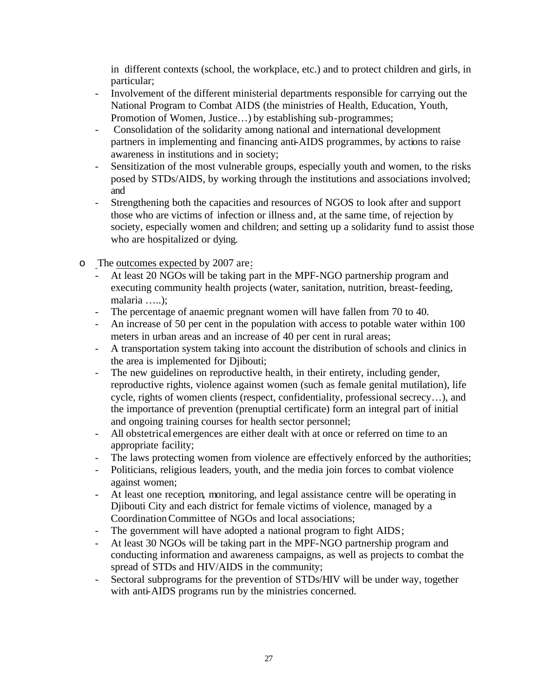in different contexts (school, the workplace, etc.) and to protect children and girls, in particular;

- Involvement of the different ministerial departments responsible for carrying out the National Program to Combat AIDS (the ministries of Health, Education, Youth, Promotion of Women, Justice…) by establishing sub-programmes;
- Consolidation of the solidarity among national and international development partners in implementing and financing anti-AIDS programmes, by actions to raise awareness in institutions and in society;
- Sensitization of the most vulnerable groups, especially youth and women, to the risks posed by STDs/AIDS, by working through the institutions and associations involved; and
- Strengthening both the capacities and resources of NGOS to look after and support those who are victims of infection or illness and, at the same time, of rejection by society, especially women and children; and setting up a solidarity fund to assist those who are hospitalized or dying.
- o The outcomes expected by 2007 are:
	- At least 20 NGOs will be taking part in the MPF-NGO partnership program and executing community health projects (water, sanitation, nutrition, breast-feeding, malaria …..);
	- The percentage of anaemic pregnant women will have fallen from 70 to 40.
	- An increase of 50 per cent in the population with access to potable water within 100 meters in urban areas and an increase of 40 per cent in rural areas;
	- A transportation system taking into account the distribution of schools and clinics in the area is implemented for Djibouti;
	- The new guidelines on reproductive health, in their entirety, including gender, reproductive rights, violence against women (such as female genital mutilation), life cycle, rights of women clients (respect, confidentiality, professional secrecy…), and the importance of prevention (prenuptial certificate) form an integral part of initial and ongoing training courses for health sector personnel;
	- All obstetrical emergences are either dealt with at once or referred on time to an appropriate facility;
	- The laws protecting women from violence are effectively enforced by the authorities;
	- Politicians, religious leaders, youth, and the media join forces to combat violence against women;
	- At least one reception, monitoring, and legal assistance centre will be operating in Djibouti City and each district for female victims of violence, managed by a Coordination Committee of NGOs and local associations;
	- The government will have adopted a national program to fight AIDS;
	- At least 30 NGOs will be taking part in the MPF-NGO partnership program and conducting information and awareness campaigns, as well as projects to combat the spread of STDs and HIV/AIDS in the community;
	- Sectoral subprograms for the prevention of STDs/HIV will be under way, together with anti-AIDS programs run by the ministries concerned.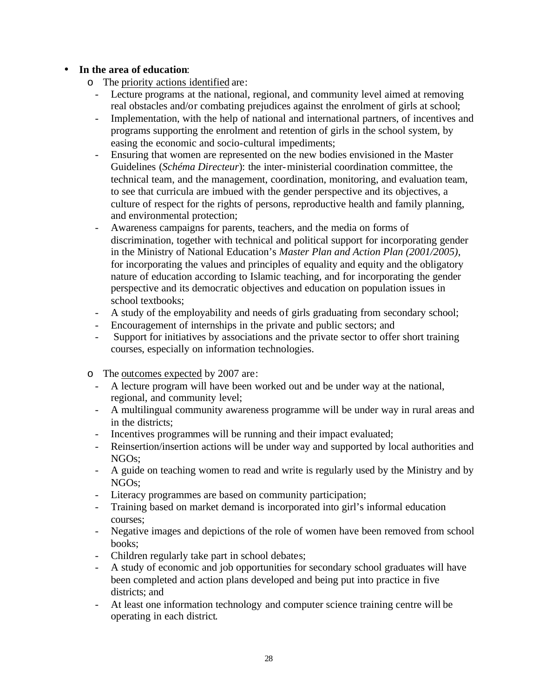#### • **In the area of education**:

- o The priority actions identified are:
	- Lecture programs at the national, regional, and community level aimed at removing real obstacles and/or combating prejudices against the enrolment of girls at school;
	- Implementation, with the help of national and international partners, of incentives and programs supporting the enrolment and retention of girls in the school system, by easing the economic and socio-cultural impediments;
	- Ensuring that women are represented on the new bodies envisioned in the Master Guidelines (*Schéma Directeur*): the inter-ministerial coordination committee, the technical team, and the management, coordination, monitoring, and evaluation team, to see that curricula are imbued with the gender perspective and its objectives, a culture of respect for the rights of persons, reproductive health and family planning, and environmental protection;
	- Awareness campaigns for parents, teachers, and the media on forms of discrimination, together with technical and political support for incorporating gender in the Ministry of National Education's *Master Plan and Action Plan (2001/2005)*, for incorporating the values and principles of equality and equity and the obligatory nature of education according to Islamic teaching, and for incorporating the gender perspective and its democratic objectives and education on population issues in school textbooks;
	- A study of the employability and needs of girls graduating from secondary school;
	- Encouragement of internships in the private and public sectors; and
	- Support for initiatives by associations and the private sector to offer short training courses, especially on information technologies.
- o The outcomes expected by 2007 are:
	- A lecture program will have been worked out and be under way at the national, regional, and community level;
	- A multilingual community awareness programme will be under way in rural areas and in the districts;
	- Incentives programmes will be running and their impact evaluated;
	- Reinsertion/insertion actions will be under way and supported by local authorities and NGOs;
	- A guide on teaching women to read and write is regularly used by the Ministry and by NGOs;
	- Literacy programmes are based on community participation;
	- Training based on market demand is incorporated into girl's informal education courses;
	- Negative images and depictions of the role of women have been removed from school books;
	- Children regularly take part in school debates;
	- A study of economic and job opportunities for secondary school graduates will have been completed and action plans developed and being put into practice in five districts; and
	- At least one information technology and computer science training centre will be operating in each district.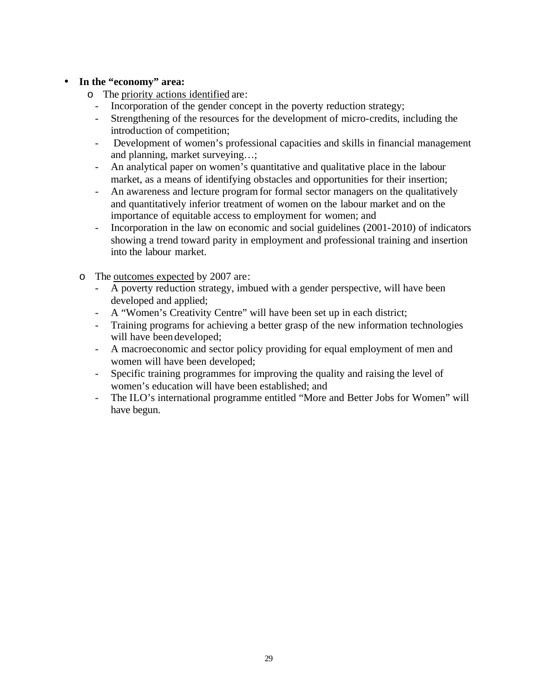#### • **In the "economy" area:**

- o The priority actions identified are:
	- Incorporation of the gender concept in the poverty reduction strategy;
	- Strengthening of the resources for the development of micro-credits, including the introduction of competition;
	- Development of women's professional capacities and skills in financial management and planning, market surveying…;
	- An analytical paper on women's quantitative and qualitative place in the labour market, as a means of identifying obstacles and opportunities for their insertion;
	- An awareness and lecture program for formal sector managers on the qualitatively and quantitatively inferior treatment of women on the labour market and on the importance of equitable access to employment for women; and
	- Incorporation in the law on economic and social guidelines (2001-2010) of indicators showing a trend toward parity in employment and professional training and insertion into the labour market.
- o The outcomes expected by 2007 are:
	- A poverty reduction strategy, imbued with a gender perspective, will have been developed and applied;
	- A "Women's Creativity Centre" will have been set up in each district;
	- Training programs for achieving a better grasp of the new information technologies will have been developed;
	- A macroeconomic and sector policy providing for equal employment of men and women will have been developed;
	- Specific training programmes for improving the quality and raising the level of women's education will have been established; and
	- The ILO's international programme entitled "More and Better Jobs for Women" will have begun.